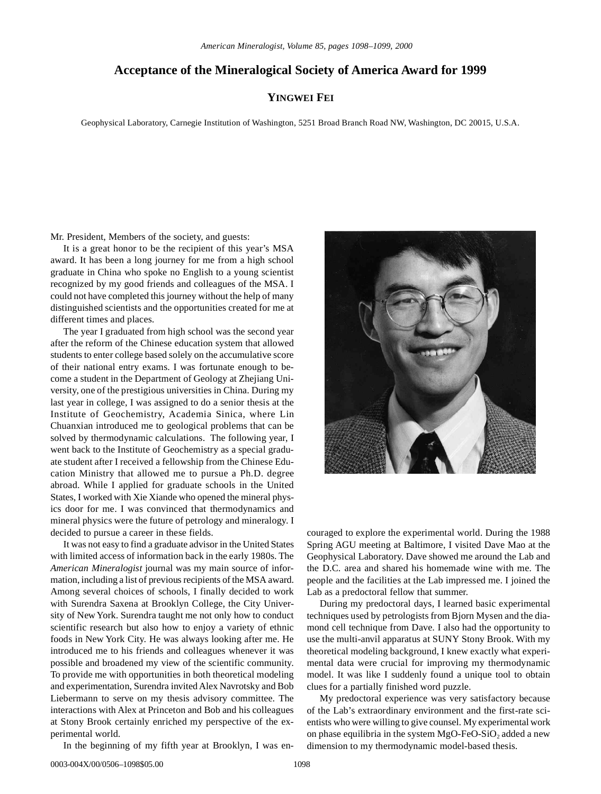## **Acceptance of the Mineralogical Society of America Award for 1999**

## **YINGWEI FEI**

Geophysical Laboratory, Carnegie Institution of Washington, 5251 Broad Branch Road NW, Washington, DC 20015, U.S.A.

Mr. President, Members of the society, and guests:

It is a great honor to be the recipient of this year's MSA award. It has been a long journey for me from a high school graduate in China who spoke no English to a young scientist recognized by my good friends and colleagues of the MSA. I could not have completed this journey without the help of many distinguished scientists and the opportunities created for me at different times and places.

The year I graduated from high school was the second year after the reform of the Chinese education system that allowed students to enter college based solely on the accumulative score of their national entry exams. I was fortunate enough to become a student in the Department of Geology at Zhejiang University, one of the prestigious universities in China. During my last year in college, I was assigned to do a senior thesis at the Institute of Geochemistry, Academia Sinica, where Lin Chuanxian introduced me to geological problems that can be solved by thermodynamic calculations. The following year, I went back to the Institute of Geochemistry as a special graduate student after I received a fellowship from the Chinese Education Ministry that allowed me to pursue a Ph.D. degree abroad. While I applied for graduate schools in the United States, I worked with Xie Xiande who opened the mineral physics door for me. I was convinced that thermodynamics and mineral physics were the future of petrology and mineralogy. I decided to pursue a career in these fields.

It was not easy to find a graduate advisor in the United States with limited access of information back in the early 1980s. The *American Mineralogist* journal was my main source of information, including a list of previous recipients of the MSA award. Among several choices of schools, I finally decided to work with Surendra Saxena at Brooklyn College, the City University of New York. Surendra taught me not only how to conduct scientific research but also how to enjoy a variety of ethnic foods in New York City. He was always looking after me. He introduced me to his friends and colleagues whenever it was possible and broadened my view of the scientific community. To provide me with opportunities in both theoretical modeling and experimentation, Surendra invited Alex Navrotsky and Bob Liebermann to serve on my thesis advisory committee. The interactions with Alex at Princeton and Bob and his colleagues at Stony Brook certainly enriched my perspective of the experimental world.

In the beginning of my fifth year at Brooklyn, I was en-



couraged to explore the experimental world. During the 1988 Spring AGU meeting at Baltimore, I visited Dave Mao at the Geophysical Laboratory. Dave showed me around the Lab and the D.C. area and shared his homemade wine with me. The people and the facilities at the Lab impressed me. I joined the Lab as a predoctoral fellow that summer.

During my predoctoral days, I learned basic experimental techniques used by petrologists from Bjorn Mysen and the diamond cell technique from Dave. I also had the opportunity to use the multi-anvil apparatus at SUNY Stony Brook. With my theoretical modeling background, I knew exactly what experimental data were crucial for improving my thermodynamic model. It was like I suddenly found a unique tool to obtain clues for a partially finished word puzzle.

My predoctoral experience was very satisfactory because of the Lab's extraordinary environment and the first-rate scientists who were willing to give counsel. My experimental work on phase equilibria in the system  $MgO-FeO-SiO<sub>2</sub>$  added a new dimension to my thermodynamic model-based thesis.